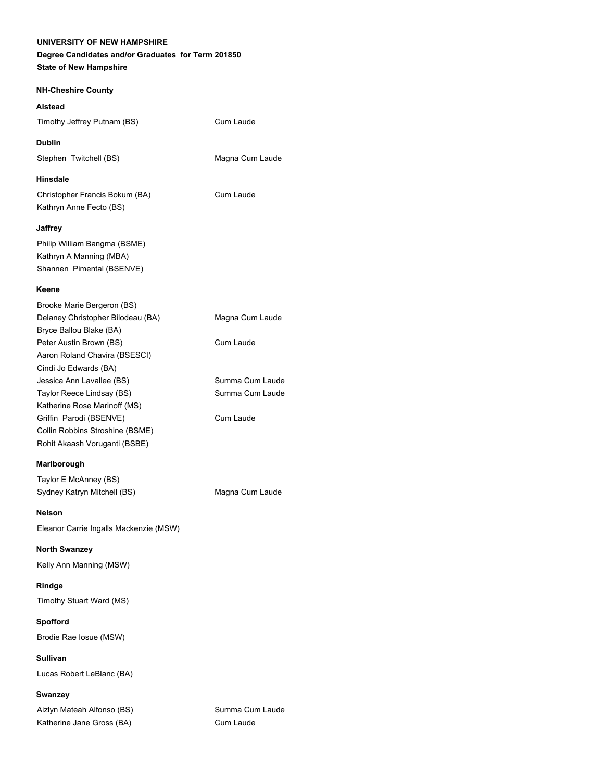#### **UNIVERSITY OF NEW HAMPSHIRE**

# **Degree Candidates and/or Graduates for Term 201850**

**State of New Hampshire**

# **NH-Cheshire County**

# **Alstead**

Timothy Jeffrey Putnam (BS) Cum Laude

# **Dublin**

Stephen Twitchell (BS) Magna Cum Laude

#### **Hinsdale**

Christopher Francis Bokum (BA) Cum Laude Kathryn Anne Fecto (BS)

## **Jaffrey**

Philip William Bangma (BSME) Kathryn A Manning (MBA) Shannen Pimental (BSENVE)

#### **Keene**

| Brooke Marie Bergeron (BS)        |                 |
|-----------------------------------|-----------------|
| Delaney Christopher Bilodeau (BA) | Magna Cum Laude |
| Bryce Ballou Blake (BA)           |                 |
| Peter Austin Brown (BS)           | Cum Laude       |
| Aaron Roland Chavira (BSESCI)     |                 |
| Cindi Jo Edwards (BA)             |                 |
| Jessica Ann Lavallee (BS)         | Summa Cum Laude |
| Taylor Reece Lindsay (BS)         | Summa Cum Laude |
| Katherine Rose Marinoff (MS)      |                 |
| Griffin Parodi (BSENVE)           | Cum Laude       |
| Collin Robbins Stroshine (BSME)   |                 |
| Rohit Akaash Voruganti (BSBE)     |                 |
|                                   |                 |

## **Marlborough**

Taylor E McAnney (BS) Sydney Katryn Mitchell (BS) Magna Cum Laude

#### **Nelson**

Eleanor Carrie Ingalls Mackenzie (MSW)

#### **North Swanzey**

Kelly Ann Manning (MSW)

#### **Rindge**

Timothy Stuart Ward (MS)

## **Spofford**

Brodie Rae Iosue (MSW)

# **Sullivan**

Lucas Robert LeBlanc (BA)

# **Swanzey**

Aizlyn Mateah Alfonso (BS) Summa Cum Laude Katherine Jane Gross (BA) Cum Laude